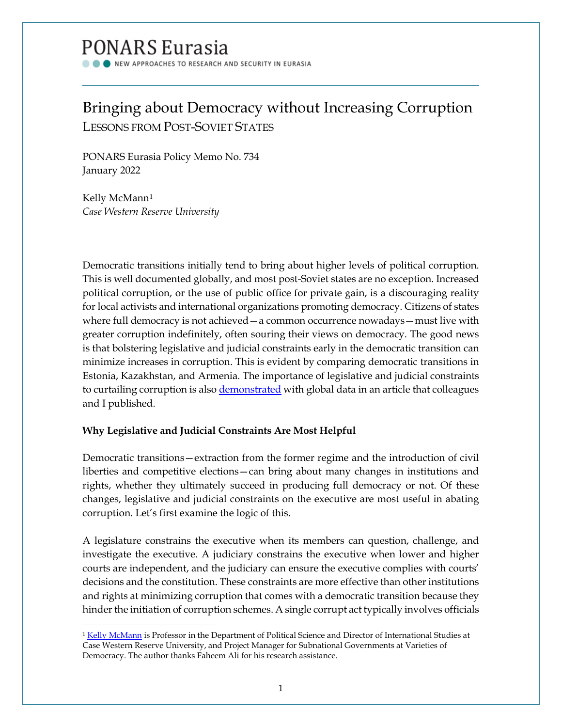# PONARS Eurasia

NEW APPROACHES TO RESEARCH AND SECURITY IN EURASIA

# Bringing about Democracy without Increasing Corruption LESSONS FROM POST-SOVIET STATES

PONARS Eurasia Policy Memo No. 734 January 2022

Kelly McMann<sup>[1](#page-0-0)</sup> *Case Western Reserve University*

Democratic transitions initially tend to bring about higher levels of political corruption. This is well documented globally, and most post-Soviet states are no exception. Increased political corruption, or the use of public office for private gain, is a discouraging reality for local activists and international organizations promoting democracy. Citizens of states where full democracy is not achieved—a common occurrence nowadays—must live with greater corruption indefinitely, often souring their views on democracy. The good news is that bolstering legislative and judicial constraints early in the democratic transition can minimize increases in corruption. This is evident by comparing democratic transitions in Estonia, Kazakhstan, and Armenia. The importance of legislative and judicial constraints to curtailing corruption is als[o demonstrated](https://journals.sagepub.com/doi/10.1177/1065912919862054) with global data in an article that colleagues and I published.

# **Why Legislative and Judicial Constraints Are Most Helpful**

Democratic transitions—extraction from the former regime and the introduction of civil liberties and competitive elections—can bring about many changes in institutions and rights, whether they ultimately succeed in producing full democracy or not. Of these changes, legislative and judicial constraints on the executive are most useful in abating corruption. Let's first examine the logic of this.

A legislature constrains the executive when its members can question, challenge, and investigate the executive. A judiciary constrains the executive when lower and higher courts are independent, and the judiciary can ensure the executive complies with courts' decisions and the constitution. These constraints are more effective than other institutions and rights at minimizing corruption that comes with a democratic transition because they hinder the initiation of corruption schemes. A single corrupt act typically involves officials

<span id="page-0-0"></span><sup>&</sup>lt;sup>1</sup> [Kelly McMann](http://kelly-mcmann.com/) is Professor in the Department of Political Science and Director of International Studies at Case Western Reserve University, and Project Manager for Subnational Governments at Varieties of Democracy. The author thanks Faheem Ali for his research assistance.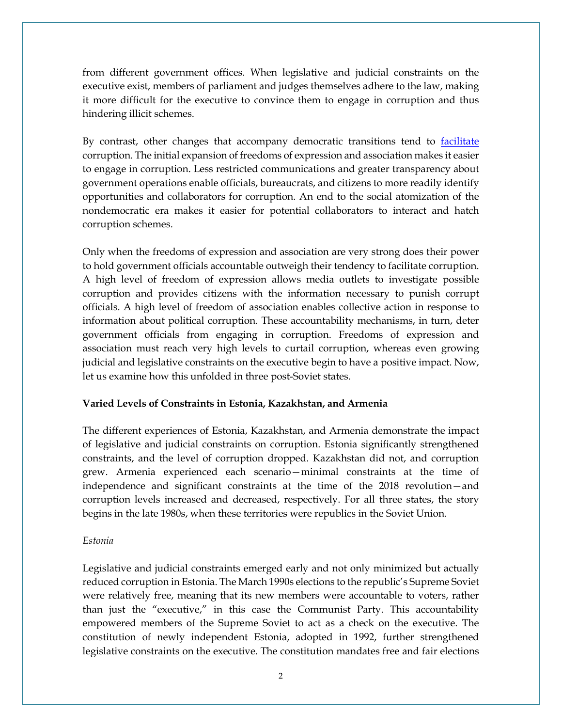from different government offices. When legislative and judicial constraints on the executive exist, members of parliament and judges themselves adhere to the law, making it more difficult for the executive to convince them to engage in corruption and thus hindering illicit schemes.

By contrast, other changes that accompany democratic transitions tend to [facilitate](https://journals.sagepub.com/doi/10.1177/1065912919862054) corruption. The initial expansion of freedoms of expression and association makes it easier to engage in corruption. Less restricted communications and greater transparency about government operations enable officials, bureaucrats, and citizens to more readily identify opportunities and collaborators for corruption. An end to the social atomization of the nondemocratic era makes it easier for potential collaborators to interact and hatch corruption schemes.

Only when the freedoms of expression and association are very strong does their power to hold government officials accountable outweigh their tendency to facilitate corruption. A high level of freedom of expression allows media outlets to investigate possible corruption and provides citizens with the information necessary to punish corrupt officials. A high level of freedom of association enables collective action in response to information about political corruption. These accountability mechanisms, in turn, deter government officials from engaging in corruption. Freedoms of expression and association must reach very high levels to curtail corruption, whereas even growing judicial and legislative constraints on the executive begin to have a positive impact. Now, let us examine how this unfolded in three post-Soviet states.

## **Varied Levels of Constraints in Estonia, Kazakhstan, and Armenia**

The different experiences of Estonia, Kazakhstan, and Armenia demonstrate the impact of legislative and judicial constraints on corruption. Estonia significantly strengthened constraints, and the level of corruption dropped. Kazakhstan did not, and corruption grew. Armenia experienced each scenario—minimal constraints at the time of independence and significant constraints at the time of the 2018 revolution—and corruption levels increased and decreased, respectively. For all three states, the story begins in the late 1980s, when these territories were republics in the Soviet Union.

#### *Estonia*

Legislative and judicial constraints emerged early and not only minimized but actually reduced corruption in Estonia. The March 1990s elections to the republic's Supreme Soviet were relatively free, meaning that its new members were accountable to voters, rather than just the "executive," in this case the Communist Party. This accountability empowered members of the Supreme Soviet to act as a check on the executive. The constitution of newly independent Estonia, adopted in 1992, further strengthened legislative constraints on the executive. The constitution mandates free and fair elections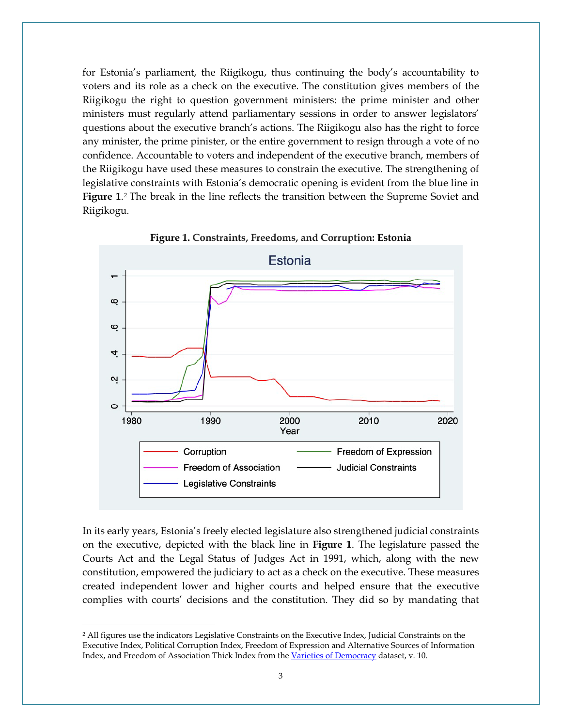for Estonia's parliament, the Riigikogu, thus continuing the body's accountability to voters and its role as a check on the executive. The constitution gives members of the Riigikogu the right to question government ministers: the prime minister and other ministers must regularly attend parliamentary sessions in order to answer legislators' questions about the executive branch's actions. The Riigikogu also has the right to force any minister, the prime pinister, or the entire government to resign through a vote of no confidence. Accountable to voters and independent of the executive branch, members of the Riigikogu have used these measures to constrain the executive. The strengthening of legislative constraints with Estonia's democratic opening is evident from the blue line in **Figure 1**.[2](#page-2-0) The break in the line reflects the transition between the Supreme Soviet and Riigikogu.



**Figure 1. Constraints, Freedoms, and Corruption: Estonia**

In its early years, Estonia's freely elected legislature also strengthened judicial constraints on the executive, depicted with the black line in **Figure 1**. The legislature passed the Courts Act and the Legal Status of Judges Act in 1991, which, along with the new constitution, empowered the judiciary to act as a check on the executive. These measures created independent lower and higher courts and helped ensure that the executive complies with courts' decisions and the constitution. They did so by mandating that

<span id="page-2-0"></span><sup>2</sup> All figures use the indicators Legislative Constraints on the Executive Index, Judicial Constraints on the Executive Index, Political Corruption Index, Freedom of Expression and Alternative Sources of Information Index, and Freedom of Association Thick Index from th[e Varieties of Democracy](https://www.v-dem.net/en/) dataset, v. 10.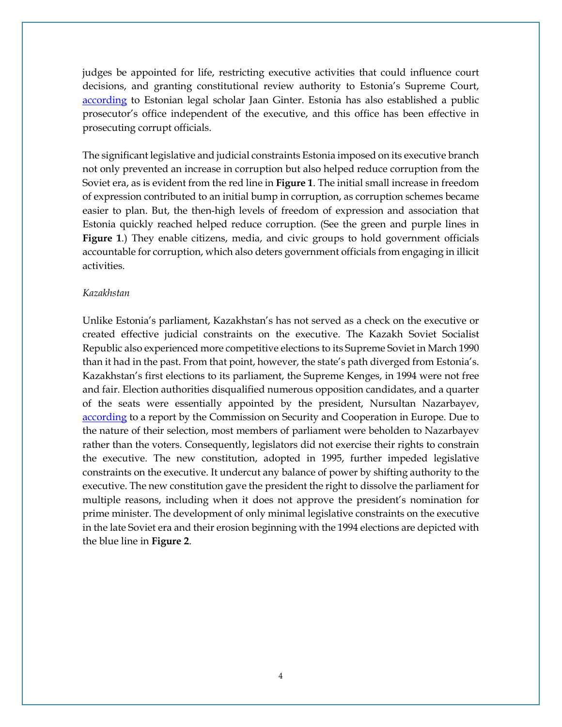judges be appointed for life, restricting executive activities that could influence court decisions, and granting constitutional review authority to Estonia's Supreme Court, according to Estonian legal scholar Jaan Ginter. Estonia has also established a public prosecutor's office independent of the executive, and this office has been effective in prosecuting corrupt officials.

The significant legislative and judicial constraints Estonia imposed on its executive branch not only prevented an increase in corruption but also helped reduce corruption from the Soviet era, as is evident from the red line in **Figure 1**. The initial small increase in freedom of expression contributed to an initial bump in corruption, as corruption schemes became easier to plan. But, the then-high levels of freedom of expression and association that Estonia quickly reached helped reduce corruption. (See the green and purple lines in **Figure 1**.) They enable citizens, media, and civic groups to hold government officials accountable for corruption, which also deters government officials from engaging in illicit activities.

## *Kazakhstan*

Unlike Estonia's parliament, Kazakhstan's has not served as a check on the executive or created effective judicial constraints on the executive. The Kazakh Soviet Socialist Republic also experienced more competitive elections to its Supreme Soviet in March 1990 than it had in the past. From that point, however, the state's path diverged from Estonia's. Kazakhstan's first elections to its parliament, the Supreme Kenges, in 1994 were not free and fair. Election authorities disqualified numerous opposition candidates, and a quarter of the seats were essentially appointed by the president, Nursultan Nazarbayev, [according](https://www.oscepa.org/en/documents/election-observation/election-observation-statements/kazakhstan/statements-13/1422-1994-parliamentary-1/file) to a report by the Commission on Security and Cooperation in Europe. Due to the nature of their selection, most members of parliament were beholden to Nazarbayev rather than the voters. Consequently, legislators did not exercise their rights to constrain the executive. The new constitution, adopted in 1995, further impeded legislative constraints on the executive. It undercut any balance of power by shifting authority to the executive. The new constitution gave the president the right to dissolve the parliament for multiple reasons, including when it does not approve the president's nomination for prime minister. The development of only minimal legislative constraints on the executive in the late Soviet era and their erosion beginning with the 1994 elections are depicted with the blue line in **Figure 2**.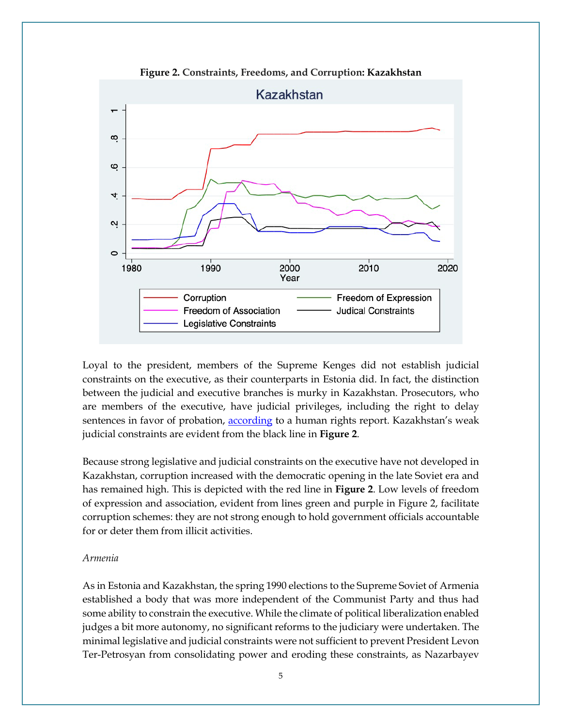

**Figure 2. Constraints, Freedoms, and Corruption: Kazakhstan**

Loyal to the president, members of the Supreme Kenges did not establish judicial constraints on the executive, as their counterparts in Estonia did. In fact, the distinction between the judicial and executive branches is murky in Kazakhstan. Prosecutors, who are members of the executive, have judicial privileges, including the right to delay sentences in favor of probation, [according](https://www.state.gov/wp-content/uploads/2020/02/KAZAKHSTAN-2019-HUMAN-RIGHTS-REPORT.pdf) to a human rights report. Kazakhstan's weak judicial constraints are evident from the black line in **Figure 2**.

Because strong legislative and judicial constraints on the executive have not developed in Kazakhstan, corruption increased with the democratic opening in the late Soviet era and has remained high. This is depicted with the red line in **Figure 2**. Low levels of freedom of expression and association, evident from lines green and purple in Figure 2, facilitate corruption schemes: they are not strong enough to hold government officials accountable for or deter them from illicit activities.

# *Armenia*

As in Estonia and Kazakhstan, the spring 1990 elections to the Supreme Soviet of Armenia established a body that was more independent of the Communist Party and thus had some ability to constrain the executive. While the climate of political liberalization enabled judges a bit more autonomy, no significant reforms to the judiciary were undertaken. The minimal legislative and judicial constraints were not sufficient to prevent President Levon Ter-Petrosyan from consolidating power and eroding these constraints, as Nazarbayev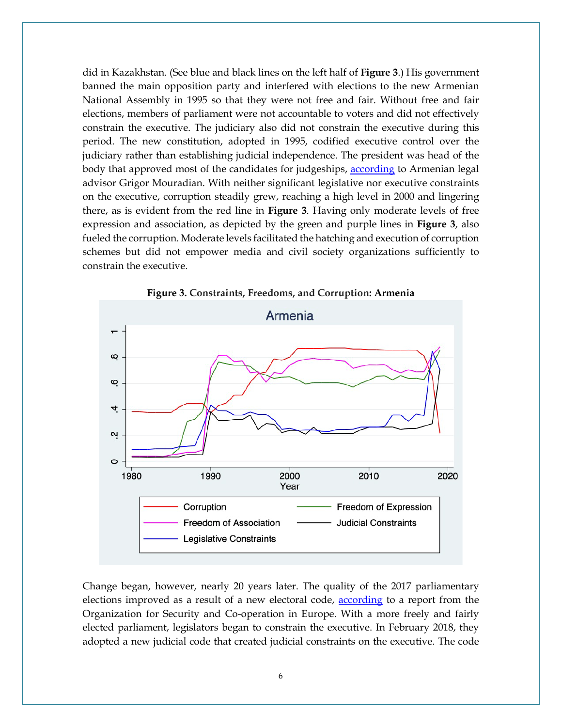did in Kazakhstan. (See blue and black lines on the left half of **Figure 3**.) His government banned the main opposition party and interfered with elections to the new Armenian National Assembly in 1995 so that they were not free and fair. Without free and fair elections, members of parliament were not accountable to voters and did not effectively constrain the executive. The judiciary also did not constrain the executive during this period. The new constitution, adopted in 1995, codified executive control over the judiciary rather than establishing judicial independence. The president was head of the body that approved most of the candidates for judgeships, [according](https://doi.org/10.1007/978-3-642-28299-7_27) to Armenian legal advisor Grigor Mouradian. With neither significant legislative nor executive constraints on the executive, corruption steadily grew, reaching a high level in 2000 and lingering there, as is evident from the red line in **Figure 3**. Having only moderate levels of free expression and association, as depicted by the green and purple lines in **Figure 3**, also fueled the corruption. Moderate levels facilitated the hatching and execution of corruption schemes but did not empower media and civil society organizations sufficiently to constrain the executive.



**Figure 3. Constraints, Freedoms, and Corruption: Armenia**

Change began, however, nearly 20 years later. The quality of the 2017 parliamentary elections improved as a result of a new electoral code, [according](https://www.osce.org/files/f/documents/6/7/328226.pdf) to a report from the Organization for Security and Co-operation in Europe. With a more freely and fairly elected parliament, legislators began to constrain the executive. In February 2018, they adopted a new judicial code that created judicial constraints on the executive. The code